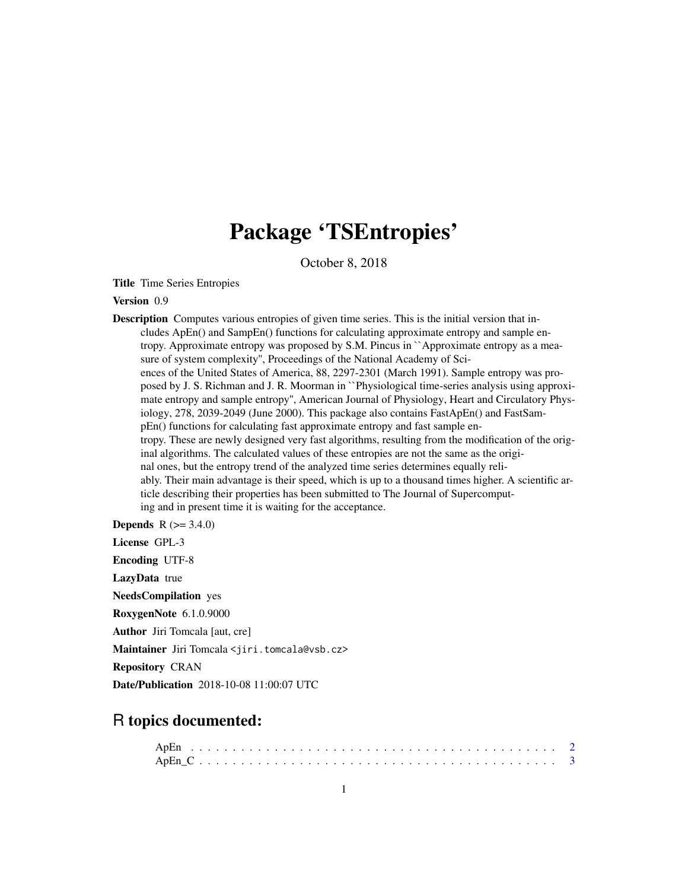## Package 'TSEntropies'

October 8, 2018

Title Time Series Entropies

Version 0.9

Description Computes various entropies of given time series. This is the initial version that includes ApEn() and SampEn() functions for calculating approximate entropy and sample entropy. Approximate entropy was proposed by S.M. Pincus in ``Approximate entropy as a measure of system complexity'', Proceedings of the National Academy of Sciences of the United States of America, 88, 2297-2301 (March 1991). Sample entropy was proposed by J. S. Richman and J. R. Moorman in ``Physiological time-series analysis using approximate entropy and sample entropy'', American Journal of Physiology, Heart and Circulatory Physiology, 278, 2039-2049 (June 2000). This package also contains FastApEn() and FastSampEn() functions for calculating fast approximate entropy and fast sample entropy. These are newly designed very fast algorithms, resulting from the modification of the original algorithms. The calculated values of these entropies are not the same as the original ones, but the entropy trend of the analyzed time series determines equally reliably. Their main advantage is their speed, which is up to a thousand times higher. A scientific article describing their properties has been submitted to The Journal of Supercomputing and in present time it is waiting for the acceptance.

**Depends**  $R (= 3.4.0)$ 

License GPL-3

Encoding UTF-8

LazyData true

NeedsCompilation yes

RoxygenNote 6.1.0.9000

Author Jiri Tomcala [aut, cre]

Maintainer Jiri Tomcala <jiri.tomcala@vsb.cz>

Repository CRAN

Date/Publication 2018-10-08 11:00:07 UTC

### R topics documented: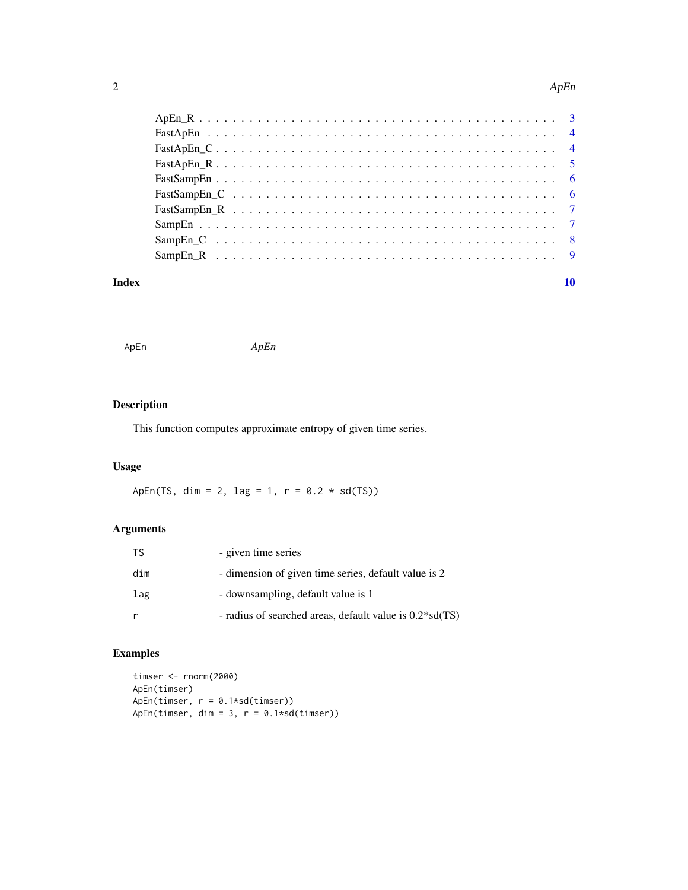#### <span id="page-1-0"></span> $\Delta p$ En

#### $\blacksquare$

ApEn *ApEn*

#### Description

This function computes approximate entropy of given time series.

#### Usage

ApEn(TS, dim = 2, lag = 1,  $r = 0.2 * sd(TS)$ )

#### Arguments

| TS. | - given time series                                       |
|-----|-----------------------------------------------------------|
| dim | - dimension of given time series, default value is 2      |
| lag | - downsampling, default value is 1                        |
| r   | - radius of searched areas, default value is $0.2*sd(TS)$ |

#### Examples

```
timser <- rnorm(2000)
ApEn(timser)
ApEn(timser, r = 0.1*sd(timser))
ApEn(timser, dim = 3, r = 0.1*sd(timser))
```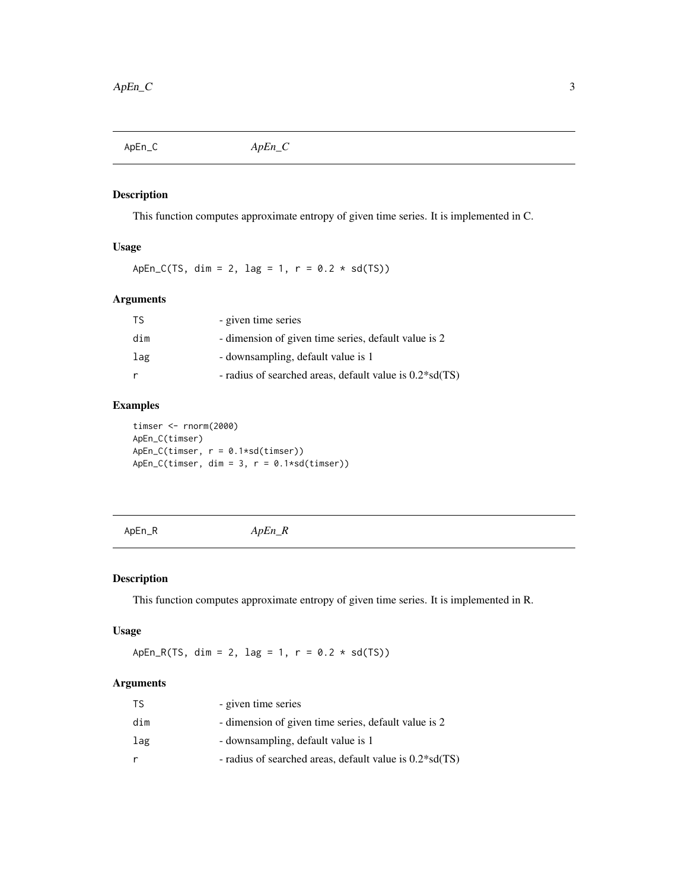<span id="page-2-0"></span>ApEn\_C *ApEn\_C*

#### Description

This function computes approximate entropy of given time series. It is implemented in C.

#### Usage

ApEn\_C(TS, dim = 2, lag = 1,  $r = 0.2 * sd(TS)$ )

#### Arguments

| TS  | - given time series                                       |
|-----|-----------------------------------------------------------|
| dim | - dimension of given time series, default value is 2      |
| lag | - downsampling, default value is 1                        |
| r   | - radius of searched areas, default value is $0.2*sd(TS)$ |

#### Examples

timser <- rnorm(2000) ApEn\_C(timser) ApEn\_C(timser, r = 0.1\*sd(timser))  $ApEn_C(timser, dim = 3, r = 0.1*sd(timser))$ 

ApEn\_R *ApEn\_R*

#### Description

This function computes approximate entropy of given time series. It is implemented in R.

#### Usage

ApEn\_R(TS, dim = 2, lag = 1,  $r = 0.2 * sd(TS)$ )

#### Arguments

| TS  | - given time series                                       |
|-----|-----------------------------------------------------------|
| dim | - dimension of given time series, default value is 2      |
| lag | - downsampling, default value is 1                        |
|     | - radius of searched areas, default value is $0.2*sd(TS)$ |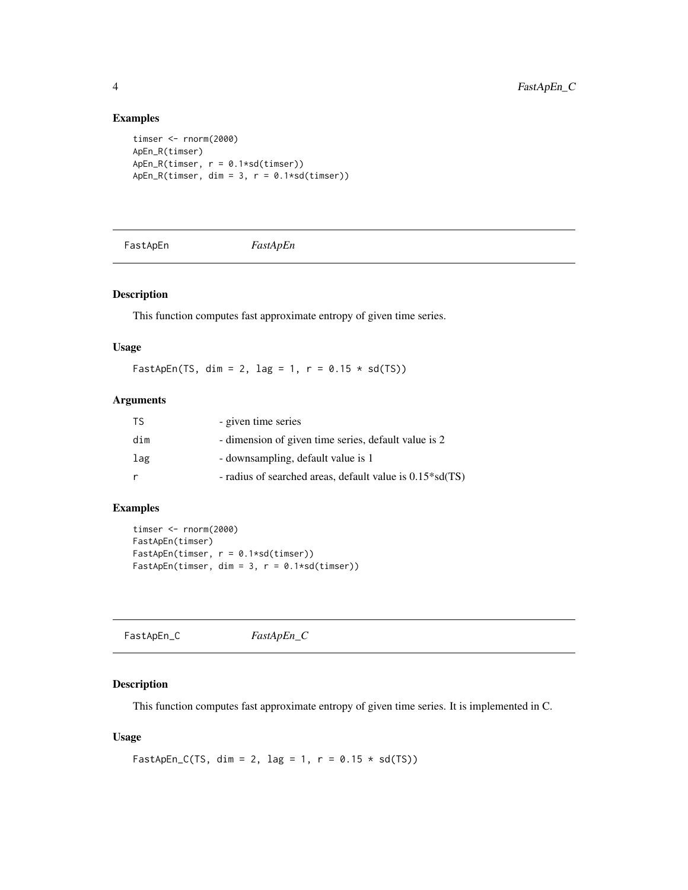#### Examples

```
timser <- rnorm(2000)
ApEn_R(timser)
ApEn_R(timser, r = 0.1*sd(timser))
ApEn_R(timser, dim = 3, r = 0.1*sd(timser))
```
FastApEn *FastApEn*

#### Description

This function computes fast approximate entropy of given time series.

#### Usage

FastApEn(TS, dim = 2, lag = 1,  $r = 0.15 * sd(TS)$ )

#### Arguments

| <b>TS</b> | - given time series                                          |
|-----------|--------------------------------------------------------------|
| dim       | - dimension of given time series, default value is 2         |
| lag       | - downsampling, default value is 1                           |
|           | - radius of searched areas, default value is $0.15 * sd(TS)$ |

#### Examples

```
timser <- rnorm(2000)
FastApEn(timser)
FastApEn(timser, r = 0.1 * sd(timser))
FastApEn(timser, dim = 3, r = 0.1 * sd(timser))
```
#### Description

This function computes fast approximate entropy of given time series. It is implemented in C.

#### Usage

```
FastApEn_C(TS, dim = 2, lag = 1, r = 0.15 * sd(TS))
```
<span id="page-3-0"></span>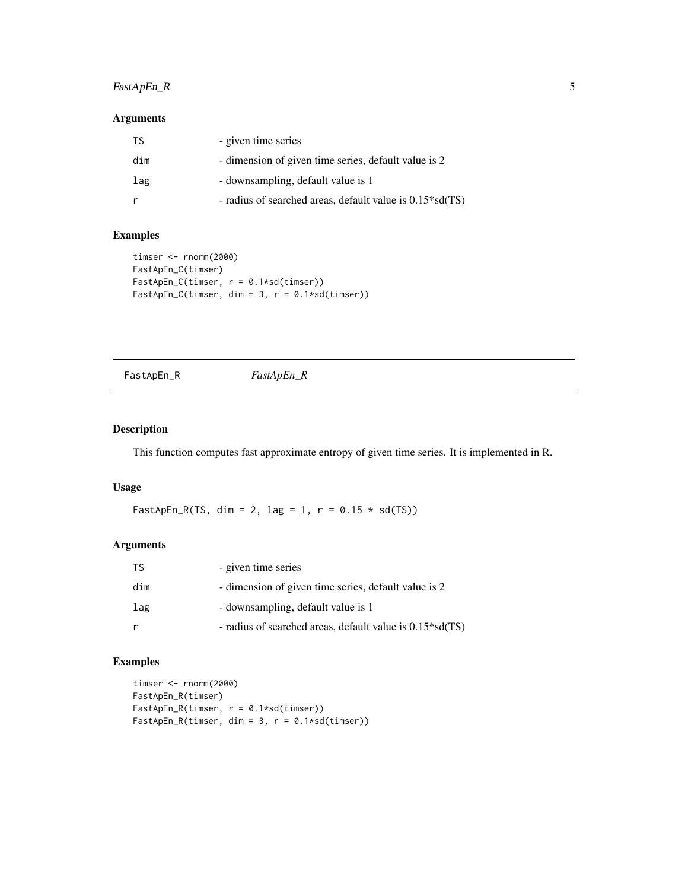#### <span id="page-4-0"></span>FastApEn\_R 5

#### Arguments

| TS. | - given time series                                          |
|-----|--------------------------------------------------------------|
| dim | - dimension of given time series, default value is 2         |
| lag | - downsampling, default value is 1                           |
|     | - radius of searched areas, default value is $0.15 * sd(TS)$ |

#### Examples

```
timser <- rnorm(2000)
FastApEn_C(timser)
FastApEn_C(timser, r = 0.1*sd(timser))
FastApEn_C(timser, dim = 3, r = 0.1*sd(timser))
```
FastApEn\_R *FastApEn\_R*

#### Description

This function computes fast approximate entropy of given time series. It is implemented in R.

#### Usage

FastApEn\_R(TS, dim = 2, lag = 1,  $r = 0.15 * sd(TS)$ )

#### Arguments

| TS. | - given time series                                          |
|-----|--------------------------------------------------------------|
| dim | - dimension of given time series, default value is 2         |
| lag | - downsampling, default value is 1                           |
|     | - radius of searched areas, default value is $0.15 * sd(TS)$ |

#### Examples

```
timser <- rnorm(2000)
FastApEn_R(timser)
FastApEn_R(timser, r = 0.1*sd(timser))
FastApEn_R(timser, dim = 3, r = 0.1*sd(timser))
```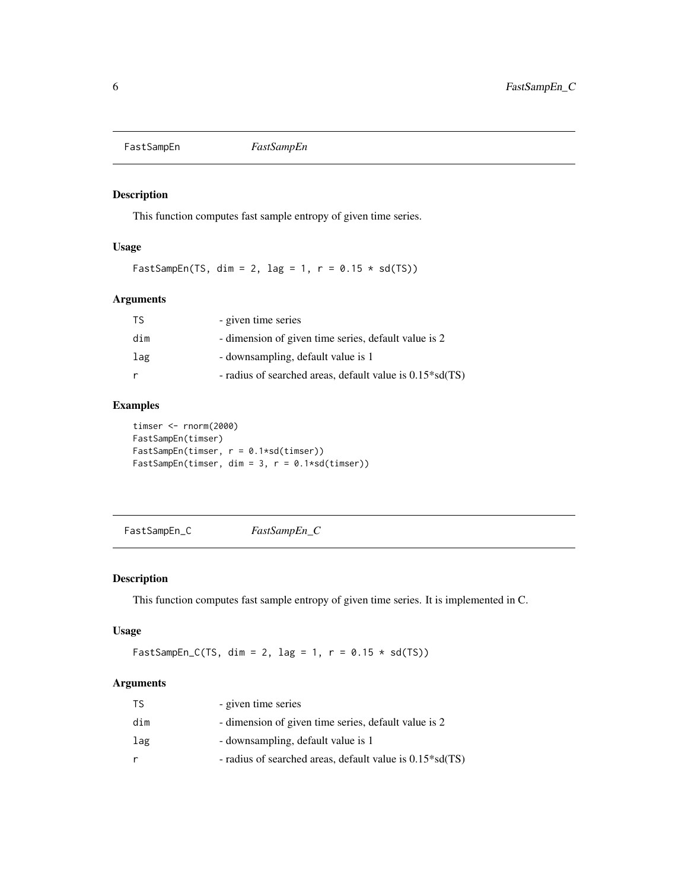<span id="page-5-0"></span>FastSampEn *FastSampEn*

#### Description

This function computes fast sample entropy of given time series.

#### Usage

FastSampEn(TS, dim = 2, lag = 1,  $r = 0.15 * sd(TS)$ )

#### Arguments

| TS  | - given time series                                          |
|-----|--------------------------------------------------------------|
| dim | - dimension of given time series, default value is 2         |
| lag | - downsampling, default value is 1                           |
| r   | - radius of searched areas, default value is $0.15 * sd(TS)$ |

#### Examples

```
timser <- rnorm(2000)
FastSampEn(timser)
FastSampEn(timser, r = 0.1*sd(timser))
FastSampEn(timser, dim = 3, r = 0.1*sd(timser))
```
FastSampEn\_C *FastSampEn\_C*

#### Description

This function computes fast sample entropy of given time series. It is implemented in C.

#### Usage

FastSampEn\_C(TS, dim = 2, lag = 1,  $r = 0.15 * sd(TS)$ )

#### Arguments

| TS  | - given time series                                          |
|-----|--------------------------------------------------------------|
| dim | - dimension of given time series, default value is 2         |
| lag | - downsampling, default value is 1                           |
|     | - radius of searched areas, default value is $0.15 * sd(TS)$ |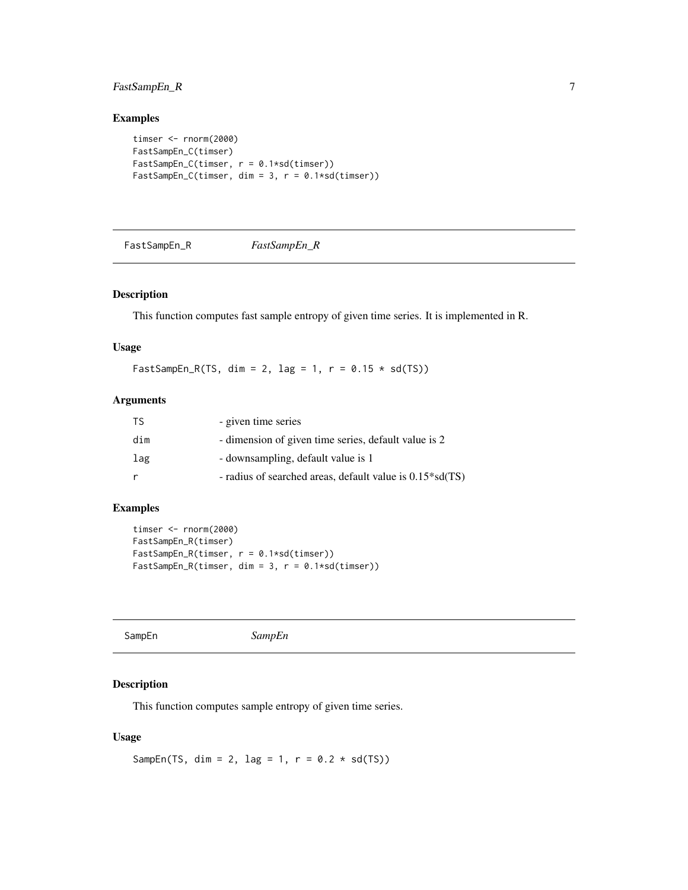#### <span id="page-6-0"></span>FastSampEn\_R 7

#### Examples

```
timser <- rnorm(2000)
FastSampEn_C(timser)
FastSampEn_C(timser, r = 0.1*sd(timser))
FastSampEn_C(timser, dim = 3, r = 0.1 * sd(timser))
```
FastSampEn\_R *FastSampEn\_R*

#### Description

This function computes fast sample entropy of given time series. It is implemented in R.

#### Usage

FastSampEn\_R(TS, dim = 2, lag = 1,  $r = 0.15 \times sd(TS)$ )

#### Arguments

| <b>TS</b> | - given time series                                          |
|-----------|--------------------------------------------------------------|
| dim       | - dimension of given time series, default value is 2         |
| lag       | - downsampling, default value is 1                           |
|           | - radius of searched areas, default value is $0.15 * sd(TS)$ |

#### Examples

```
timser <- rnorm(2000)
FastSampEn_R(timser)
FastSampEn_R(timser, r = 0.1*sd(timser))
FastSampEn_R(timser, dim = 3, r = 0.1 * sd(timser))
```
SampEn *SampEn*

#### Description

This function computes sample entropy of given time series.

#### Usage

SampEn(TS, dim = 2, lag = 1,  $r = 0.2 * sd(TS)$ )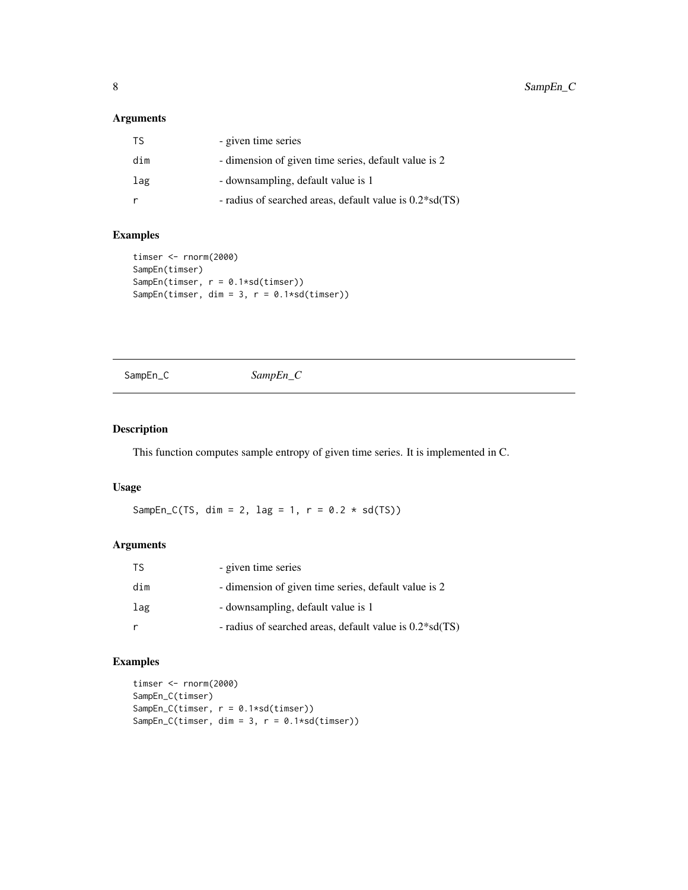#### <span id="page-7-0"></span>Arguments

| TS. | - given time series                                       |
|-----|-----------------------------------------------------------|
| dim | - dimension of given time series, default value is 2      |
| lag | - downsampling, default value is 1                        |
|     | - radius of searched areas, default value is $0.2*sd(TS)$ |

#### Examples

```
timser <- rnorm(2000)
SampEn(timser)
SampEn(timser, r = 0.1*sd(timser))
SampEn(timser, dim = 3, r = 0.1 * sd(timser))
```
SampEn\_C *SampEn\_C*

#### Description

This function computes sample entropy of given time series. It is implemented in C.

#### Usage

SampEn\_C(TS, dim = 2, lag = 1,  $r = 0.2 \times sd(TS)$ )

#### Arguments

| <b>TS</b> | - given time series                                       |
|-----------|-----------------------------------------------------------|
| dim       | - dimension of given time series, default value is 2      |
| lag       | - downsampling, default value is 1                        |
|           | - radius of searched areas, default value is $0.2*sd(TS)$ |

#### Examples

```
timser <- rnorm(2000)
SampEn_C(timser)
SampEn_C(timser, r = 0.1*sd(timser))
SampEn_C(timser, dim = 3, r = 0.1*sd(timser))
```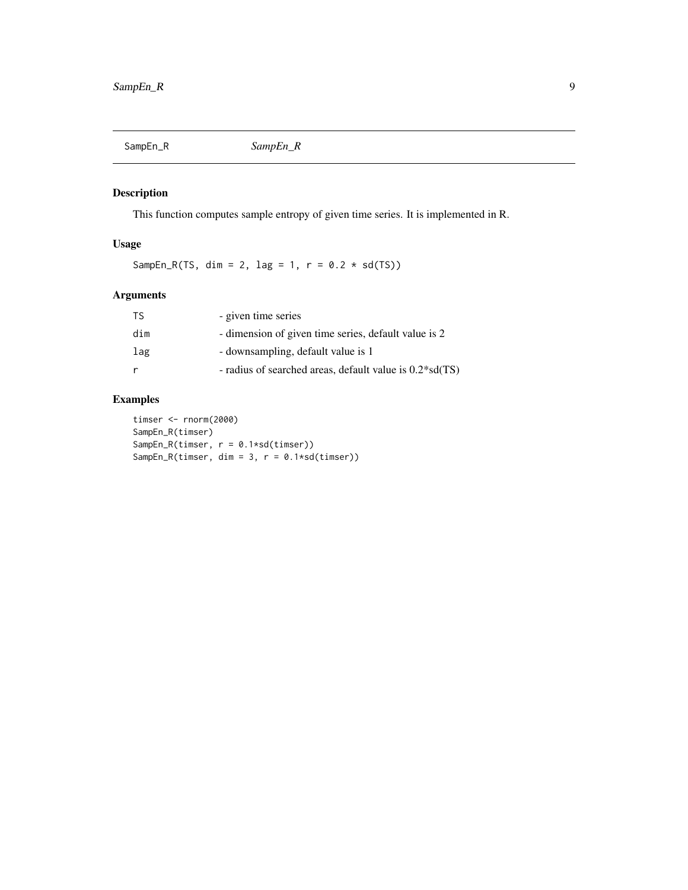<span id="page-8-0"></span>

#### Description

This function computes sample entropy of given time series. It is implemented in R.

#### Usage

SampEn\_R(TS, dim = 2, lag = 1,  $r = 0.2 * sd(TS)$ )

#### Arguments

| TS  | - given time series                                       |
|-----|-----------------------------------------------------------|
| dim | - dimension of given time series, default value is 2      |
| lag | - downsampling, default value is 1                        |
|     | - radius of searched areas, default value is $0.2*sd(TS)$ |

#### Examples

timser <- rnorm(2000) SampEn\_R(timser) SampEn\_R(timser, r = 0.1\*sd(timser)) SampEn\_R(timser, dim = 3, r = 0.1\*sd(timser))